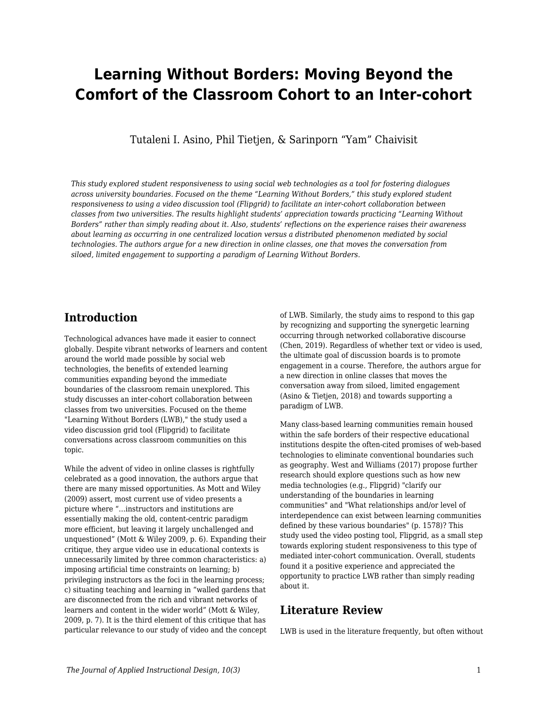# **Learning Without Borders: Moving Beyond the Comfort of the Classroom Cohort to an Inter-cohort**

Tutaleni I. Asino, Phil Tietjen, & Sarinporn "Yam" Chaivisit

*This study explored student responsiveness to using social web technologies as a tool for fostering dialogues across university boundaries. Focused on the theme "Learning Without Borders," this study explored student responsiveness to using a video discussion tool (Flipgrid) to facilitate an inter-cohort collaboration between classes from two universities. The results highlight students' appreciation towards practicing "Learning Without Borders" rather than simply reading about it. Also, students' reflections on the experience raises their awareness about learning as occurring in one centralized location versus a distributed phenomenon mediated by social technologies. The authors argue for a new direction in online classes, one that moves the conversation from siloed, limited engagement to supporting a paradigm of Learning Without Borders.*

## **Introduction**

Technological advances have made it easier to connect globally. Despite vibrant networks of learners and content around the world made possible by social web technologies, the benefits of extended learning communities expanding beyond the immediate boundaries of the classroom remain unexplored. This study discusses an inter-cohort collaboration between classes from two universities. Focused on the theme "Learning Without Borders (LWB)," the study used a video discussion grid tool (Flipgrid) to facilitate conversations across classroom communities on this topic.

While the advent of video in online classes is rightfully celebrated as a good innovation, the authors argue that there are many missed opportunities. As Mott and Wiley (2009) assert, most current use of video presents a picture where "…instructors and institutions are essentially making the old, content-centric paradigm more efficient, but leaving it largely unchallenged and unquestioned" (Mott & Wiley 2009, p. 6). Expanding their critique, they argue video use in educational contexts is unnecessarily limited by three common characteristics: a) imposing artificial time constraints on learning; b) privileging instructors as the foci in the learning process; c) situating teaching and learning in "walled gardens that are disconnected from the rich and vibrant networks of learners and content in the wider world" (Mott & Wiley, 2009, p. 7). It is the third element of this critique that has particular relevance to our study of video and the concept of LWB. Similarly, the study aims to respond to this gap by recognizing and supporting the synergetic learning occurring through networked collaborative discourse (Chen, 2019). Regardless of whether text or video is used, the ultimate goal of discussion boards is to promote engagement in a course. Therefore, the authors argue for a new direction in online classes that moves the conversation away from siloed, limited engagement (Asino & Tietjen, 2018) and towards supporting a paradigm of LWB.

Many class-based learning communities remain housed within the safe borders of their respective educational institutions despite the often-cited promises of web-based technologies to eliminate conventional boundaries such as geography. West and Williams (2017) propose further research should explore questions such as how new media technologies (e.g., Flipgrid) "clarify our understanding of the boundaries in learning communities" and "What relationships and/or level of interdependence can exist between learning communities defined by these various boundaries" (p. 1578)? This study used the video posting tool, Flipgrid, as a small step towards exploring student responsiveness to this type of mediated inter-cohort communication. Overall, students found it a positive experience and appreciated the opportunity to practice LWB rather than simply reading about it.

## **Literature Review**

LWB is used in the literature frequently, but often without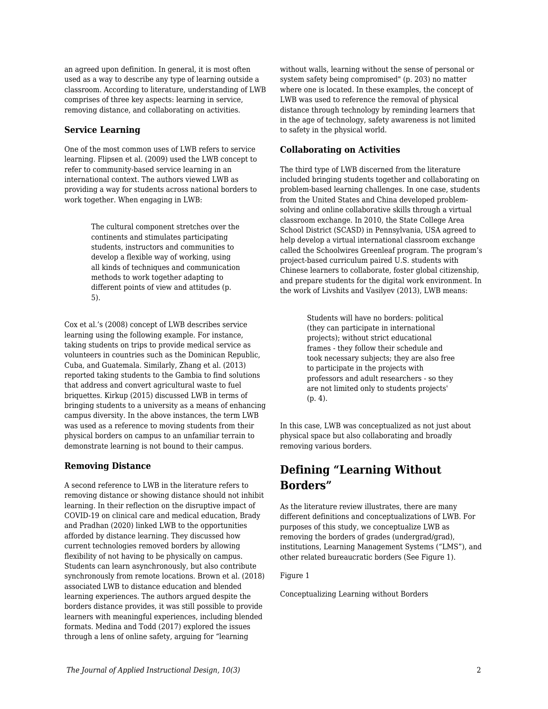an agreed upon definition. In general, it is most often used as a way to describe any type of learning outside a classroom. According to literature, understanding of LWB comprises of three key aspects: learning in service, removing distance, and collaborating on activities.

### **Service Learning**

One of the most common uses of LWB refers to service learning. Flipsen et al. (2009) used the LWB concept to refer to community-based service learning in an international context. The authors viewed LWB as providing a way for students across national borders to work together. When engaging in LWB:

> The cultural component stretches over the continents and stimulates participating students, instructors and communities to develop a flexible way of working, using all kinds of techniques and communication methods to work together adapting to different points of view and attitudes (p. 5).

Cox et al.'s (2008) concept of LWB describes service learning using the following example. For instance, taking students on trips to provide medical service as volunteers in countries such as the Dominican Republic, Cuba, and Guatemala. Similarly, Zhang et al. (2013) reported taking students to the Gambia to find solutions that address and convert agricultural waste to fuel briquettes. Kirkup (2015) discussed LWB in terms of bringing students to a university as a means of enhancing campus diversity. In the above instances, the term LWB was used as a reference to moving students from their physical borders on campus to an unfamiliar terrain to demonstrate learning is not bound to their campus.

## **Removing Distance**

A second reference to LWB in the literature refers to removing distance or showing distance should not inhibit learning. In their reflection on the disruptive impact of COVID-19 on clinical care and medical education, Brady and Pradhan (2020) linked LWB to the opportunities afforded by distance learning. They discussed how current technologies removed borders by allowing flexibility of not having to be physically on campus. Students can learn asynchronously, but also contribute synchronously from remote locations. Brown et al. (2018) associated LWB to distance education and blended learning experiences. The authors argued despite the borders distance provides, it was still possible to provide learners with meaningful experiences, including blended formats. Medina and Todd (2017) explored the issues through a lens of online safety, arguing for "learning

without walls, learning without the sense of personal or system safety being compromised" (p. 203) no matter where one is located. In these examples, the concept of LWB was used to reference the removal of physical distance through technology by reminding learners that in the age of technology, safety awareness is not limited to safety in the physical world.

## **Collaborating on Activities**

The third type of LWB discerned from the literature included bringing students together and collaborating on problem-based learning challenges. In one case, students from the United States and China developed problemsolving and online collaborative skills through a virtual classroom exchange. In 2010, the State College Area School District (SCASD) in Pennsylvania, USA agreed to help develop a virtual international classroom exchange called the Schoolwires Greenleaf program. The program's project-based curriculum paired U.S. students with Chinese learners to collaborate, foster global citizenship, and prepare students for the digital work environment. In the work of Livshits and Vasilyev (2013), LWB means:

> Students will have no borders: political (they can participate in international projects); without strict educational frames - they follow their schedule and took necessary subjects; they are also free to participate in the projects with professors and adult researchers - so they are not limited only to students projects' (p. 4).

In this case, LWB was conceptualized as not just about physical space but also collaborating and broadly removing various borders.

## **Defining "Learning Without Borders"**

As the literature review illustrates, there are many different definitions and conceptualizations of LWB. For purposes of this study, we conceptualize LWB as removing the borders of grades (undergrad/grad), institutions, Learning Management Systems ("LMS"), and other related bureaucratic borders (See Figure 1).

### Figure 1

Conceptualizing Learning without Borders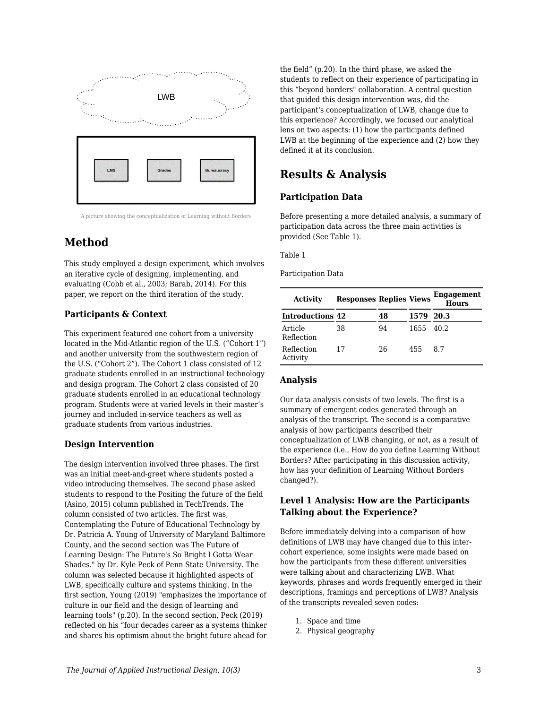

A picture showing the conceptualization of Learning without Borders

## **Method**

This study employed a design experiment, which involves an iterative cycle of designing, implementing, and evaluating (Cobb et al., 2003; Barab, 2014). For this paper, we report on the third iteration of the study.

## **Participants & Context**

This experiment featured one cohort from a university located in the Mid-Atlantic region of the U.S. ("Cohort 1") and another university from the southwestern region of the U.S. ("Cohort 2"). The Cohort 1 class consisted of 12 graduate students enrolled in an instructional technology and design program. The Cohort 2 class consisted of 20 graduate students enrolled in an educational technology program. Students were at varied levels in their master's journey and included in-service teachers as well as graduate students from various industries.

## **Design Intervention**

The design intervention involved three phases. The first was an initial meet-and-greet where students posted a video introducing themselves. The second phase asked students to respond to the Positing the future of the field (Asino, 2015) column published in TechTrends. The column consisted of two articles. The first was, Contemplating the Future of Educational Technology by Dr. Patricia A. Young of University of Maryland Baltimore County, and the second section was The Future of Learning Design: The Future's So Bright I Gotta Wear Shades." by Dr. Kyle Peck of Penn State University. The column was selected because it highlighted aspects of LWB, specifically culture and systems thinking. In the first section, Young (2019) "emphasizes the importance of culture in our field and the design of learning and learning tools" (p.20). In the second section, Peck (2019) reflected on his "four decades career as a systems thinker and shares his optimism about the bright future ahead for

the field" (p.20). In the third phase, we asked the students to reflect on their experience of participating in this "beyond borders" collaboration. A central question that guided this design intervention was, did the participant's conceptualization of LWB, change due to this experience? Accordingly, we focused our analytical lens on two aspects: (1) how the participants defined LWB at the beginning of the experience and (2) how they defined it at its conclusion.

## **Results & Analysis**

## **Participation Data**

Before presenting a more detailed analysis, a summary of participation data across the three main activities is provided (See Table 1).

#### Table 1

#### Participation Data

| Activity                | <b>Responses Replies Views</b> |    |           | Engagement<br><b>Hours</b> |
|-------------------------|--------------------------------|----|-----------|----------------------------|
| <b>Introductions 42</b> |                                | 48 | 1579 20.3 |                            |
| Article<br>Reflection   | 38                             | 94 | 1655 40.2 |                            |
| Reflection<br>Activity  | 17                             | 26 | 455       | -87                        |

## **Analysis**

Our data analysis consists of two levels. The first is a summary of emergent codes generated through an analysis of the transcript. The second is a comparative analysis of how participants described their conceptualization of LWB changing, or not, as a result of the experience (i.e., How do you define Learning Without Borders? After participating in this discussion activity, how has your definition of Learning Without Borders changed?).

## **Level 1 Analysis: How are the Participants Talking about the Experience?**

Before immediately delving into a comparison of how definitions of LWB may have changed due to this intercohort experience, some insights were made based on how the participants from these different universities were talking about and characterizing LWB. What keywords, phrases and words frequently emerged in their descriptions, framings and perceptions of LWB? Analysis of the transcripts revealed seven codes:

- 1. Space and time
- 2. Physical geography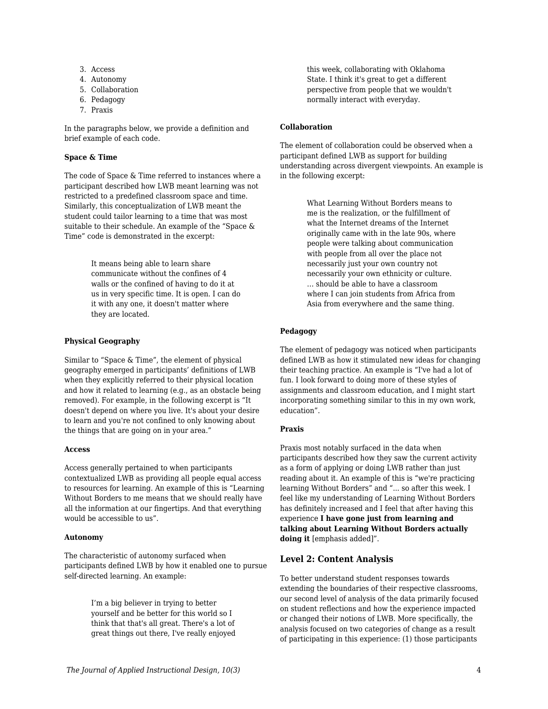- 3. Access
- 4. Autonomy
- 5. Collaboration
- 6. Pedagogy
- 7. Praxis

In the paragraphs below, we provide a definition and brief example of each code.

#### **Space & Time**

The code of Space & Time referred to instances where a participant described how LWB meant learning was not restricted to a predefined classroom space and time. Similarly, this conceptualization of LWB meant the student could tailor learning to a time that was most suitable to their schedule. An example of the "Space & Time" code is demonstrated in the excerpt:

> It means being able to learn share communicate without the confines of 4 walls or the confined of having to do it at us in very specific time. It is open. I can do it with any one, it doesn't matter where they are located.

### **Physical Geography**

Similar to "Space & Time", the element of physical geography emerged in participants' definitions of LWB when they explicitly referred to their physical location and how it related to learning (e.g., as an obstacle being removed). For example, in the following excerpt is "It doesn't depend on where you live. It's about your desire to learn and you're not confined to only knowing about the things that are going on in your area."

### **Access**

Access generally pertained to when participants contextualized LWB as providing all people equal access to resources for learning. An example of this is "Learning Without Borders to me means that we should really have all the information at our fingertips. And that everything would be accessible to us".

#### **Autonomy**

The characteristic of autonomy surfaced when participants defined LWB by how it enabled one to pursue self-directed learning. An example:

> I'm a big believer in trying to better yourself and be better for this world so I think that that's all great. There's a lot of great things out there, I've really enjoyed

this week, collaborating with Oklahoma State. I think it's great to get a different perspective from people that we wouldn't normally interact with everyday.

### **Collaboration**

The element of collaboration could be observed when a participant defined LWB as support for building understanding across divergent viewpoints. An example is in the following excerpt:

> What Learning Without Borders means to me is the realization, or the fulfillment of what the Internet dreams of the Internet originally came with in the late 90s, where people were talking about communication with people from all over the place not necessarily just your own country not necessarily your own ethnicity or culture. … should be able to have a classroom where I can join students from Africa from Asia from everywhere and the same thing.

### **Pedagogy**

The element of pedagogy was noticed when participants defined LWB as how it stimulated new ideas for changing their teaching practice. An example is "I've had a lot of fun. I look forward to doing more of these styles of assignments and classroom education, and I might start incorporating something similar to this in my own work, education".

### **Praxis**

Praxis most notably surfaced in the data when participants described how they saw the current activity as a form of applying or doing LWB rather than just reading about it. An example of this is "we're practicing learning Without Borders" and "... so after this week. I feel like my understanding of Learning Without Borders has definitely increased and I feel that after having this experience **I have gone just from learning and talking about Learning Without Borders actually doing it** [emphasis added]".

## **Level 2: Content Analysis**

To better understand student responses towards extending the boundaries of their respective classrooms, our second level of analysis of the data primarily focused on student reflections and how the experience impacted or changed their notions of LWB. More specifically, the analysis focused on two categories of change as a result of participating in this experience: (1) those participants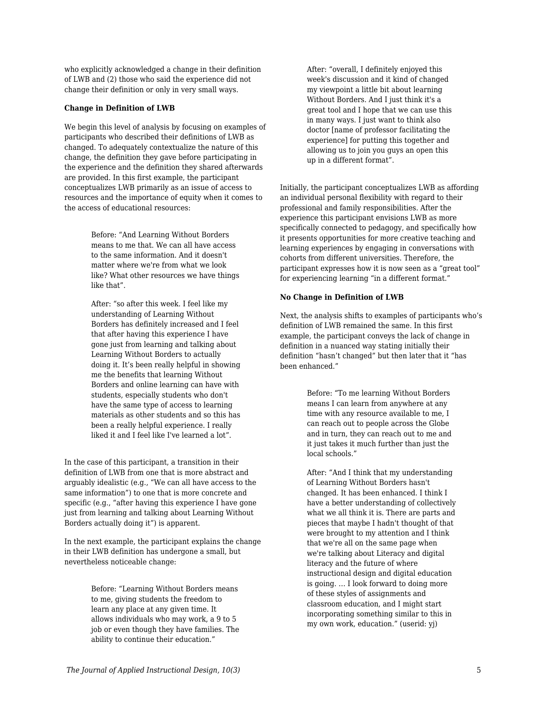who explicitly acknowledged a change in their definition of LWB and (2) those who said the experience did not change their definition or only in very small ways.

#### **Change in Definition of LWB**

We begin this level of analysis by focusing on examples of participants who described their definitions of LWB as changed. To adequately contextualize the nature of this change, the definition they gave before participating in the experience and the definition they shared afterwards are provided. In this first example, the participant conceptualizes LWB primarily as an issue of access to resources and the importance of equity when it comes to the access of educational resources:

> Before: "And Learning Without Borders means to me that. We can all have access to the same information. And it doesn't matter where we're from what we look like? What other resources we have things like that".

> After: "so after this week. I feel like my understanding of Learning Without Borders has definitely increased and I feel that after having this experience I have gone just from learning and talking about Learning Without Borders to actually doing it. It's been really helpful in showing me the benefits that learning Without Borders and online learning can have with students, especially students who don't have the same type of access to learning materials as other students and so this has been a really helpful experience. I really liked it and I feel like I've learned a lot".

In the case of this participant, a transition in their definition of LWB from one that is more abstract and arguably idealistic (e.g., "We can all have access to the same information") to one that is more concrete and specific (e.g., "after having this experience I have gone just from learning and talking about Learning Without Borders actually doing it") is apparent.

In the next example, the participant explains the change in their LWB definition has undergone a small, but nevertheless noticeable change:

> Before: "Learning Without Borders means to me, giving students the freedom to learn any place at any given time. It allows individuals who may work, a 9 to 5 job or even though they have families. The ability to continue their education."

After: "overall, I definitely enjoyed this week's discussion and it kind of changed my viewpoint a little bit about learning Without Borders. And I just think it's a great tool and I hope that we can use this in many ways. I just want to think also doctor [name of professor facilitating the experience] for putting this together and allowing us to join you guys an open this up in a different format".

Initially, the participant conceptualizes LWB as affording an individual personal flexibility with regard to their professional and family responsibilities. After the experience this participant envisions LWB as more specifically connected to pedagogy, and specifically how it presents opportunities for more creative teaching and learning experiences by engaging in conversations with cohorts from different universities. Therefore, the participant expresses how it is now seen as a "great tool" for experiencing learning "in a different format."

#### **No Change in Definition of LWB**

Next, the analysis shifts to examples of participants who's definition of LWB remained the same. In this first example, the participant conveys the lack of change in definition in a nuanced way stating initially their definition "hasn't changed" but then later that it "has been enhanced."

> Before: "To me learning Without Borders means I can learn from anywhere at any time with any resource available to me, I can reach out to people across the Globe and in turn, they can reach out to me and it just takes it much further than just the local schools."

After: "And I think that my understanding of Learning Without Borders hasn't changed. It has been enhanced. I think I have a better understanding of collectively what we all think it is. There are parts and pieces that maybe I hadn't thought of that were brought to my attention and I think that we're all on the same page when we're talking about Literacy and digital literacy and the future of where instructional design and digital education is going. … I look forward to doing more of these styles of assignments and classroom education, and I might start incorporating something similar to this in my own work, education." (userid: yj)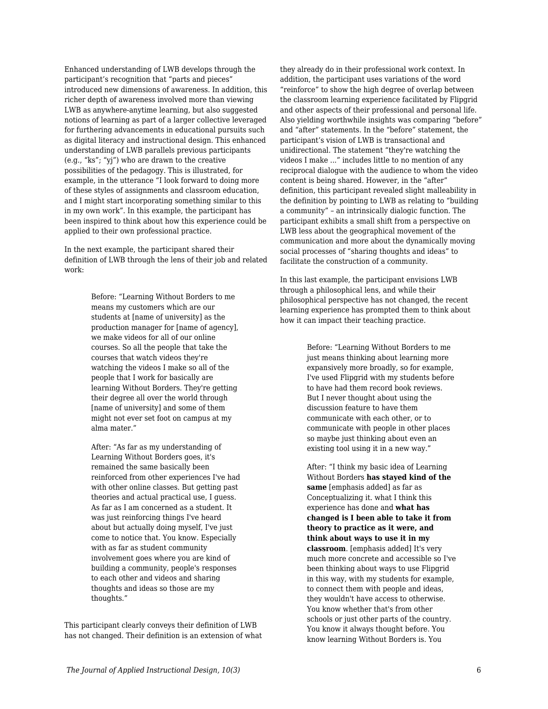Enhanced understanding of LWB develops through the participant's recognition that "parts and pieces" introduced new dimensions of awareness. In addition, this richer depth of awareness involved more than viewing LWB as anywhere-anytime learning, but also suggested notions of learning as part of a larger collective leveraged for furthering advancements in educational pursuits such as digital literacy and instructional design. This enhanced understanding of LWB parallels previous participants (e.g., "ks"; "yj") who are drawn to the creative possibilities of the pedagogy. This is illustrated, for example, in the utterance "I look forward to doing more of these styles of assignments and classroom education, and I might start incorporating something similar to this in my own work". In this example, the participant has been inspired to think about how this experience could be applied to their own professional practice.

In the next example, the participant shared their definition of LWB through the lens of their job and related work:

> Before: "Learning Without Borders to me means my customers which are our students at [name of university] as the production manager for [name of agency], we make videos for all of our online courses. So all the people that take the courses that watch videos they're watching the videos I make so all of the people that I work for basically are learning Without Borders. They're getting their degree all over the world through [name of university] and some of them might not ever set foot on campus at my alma mater."

> After: "As far as my understanding of Learning Without Borders goes, it's remained the same basically been reinforced from other experiences I've had with other online classes. But getting past theories and actual practical use, I guess. As far as I am concerned as a student. It was just reinforcing things I've heard about but actually doing myself, I've just come to notice that. You know. Especially with as far as student community involvement goes where you are kind of building a community, people's responses to each other and videos and sharing thoughts and ideas so those are my thoughts."

This participant clearly conveys their definition of LWB has not changed. Their definition is an extension of what they already do in their professional work context. In addition, the participant uses variations of the word "reinforce" to show the high degree of overlap between the classroom learning experience facilitated by Flipgrid and other aspects of their professional and personal life. Also yielding worthwhile insights was comparing "before" and "after" statements. In the "before" statement, the participant's vision of LWB is transactional and unidirectional. The statement "they're watching the videos I make ..." includes little to no mention of any reciprocal dialogue with the audience to whom the video content is being shared. However, in the "after" definition, this participant revealed slight malleability in the definition by pointing to LWB as relating to "building a community" – an intrinsically dialogic function. The participant exhibits a small shift from a perspective on LWB less about the geographical movement of the communication and more about the dynamically moving social processes of "sharing thoughts and ideas" to facilitate the construction of a community.

In this last example, the participant envisions LWB through a philosophical lens, and while their philosophical perspective has not changed, the recent learning experience has prompted them to think about how it can impact their teaching practice.

> Before: "Learning Without Borders to me just means thinking about learning more expansively more broadly, so for example, I've used Flipgrid with my students before to have had them record book reviews. But I never thought about using the discussion feature to have them communicate with each other, or to communicate with people in other places so maybe just thinking about even an existing tool using it in a new way."

> After: "I think my basic idea of Learning Without Borders **has stayed kind of the same** [emphasis added] as far as Conceptualizing it. what I think this experience has done and **what has changed is I been able to take it from theory to practice as it were, and think about ways to use it in my classroom**. [emphasis added] It's very much more concrete and accessible so I've been thinking about ways to use Flipgrid in this way, with my students for example, to connect them with people and ideas, they wouldn't have access to otherwise. You know whether that's from other schools or just other parts of the country. You know it always thought before. You know learning Without Borders is. You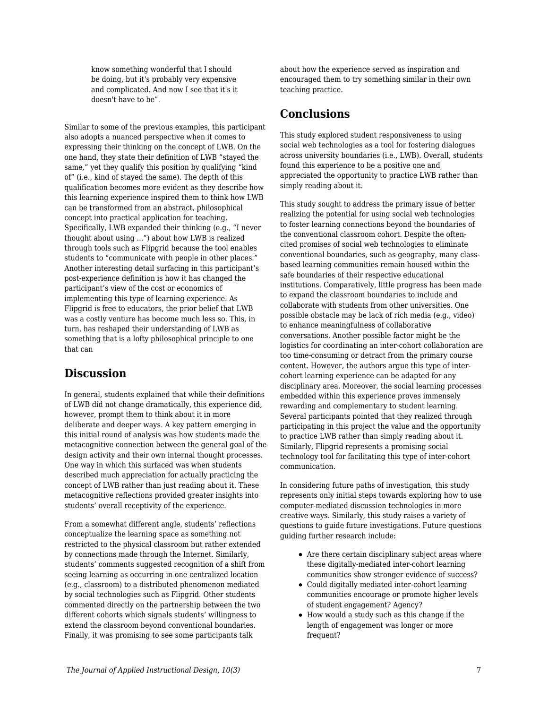know something wonderful that I should be doing, but it's probably very expensive and complicated. And now I see that it's it doesn't have to be".

Similar to some of the previous examples, this participant also adopts a nuanced perspective when it comes to expressing their thinking on the concept of LWB. On the one hand, they state their definition of LWB "stayed the same," yet they qualify this position by qualifying "kind of" (i.e., kind of stayed the same). The depth of this qualification becomes more evident as they describe how this learning experience inspired them to think how LWB can be transformed from an abstract, philosophical concept into practical application for teaching. Specifically, LWB expanded their thinking (e.g., "I never thought about using ...") about how LWB is realized through tools such as Flipgrid because the tool enables students to "communicate with people in other places." Another interesting detail surfacing in this participant's post-experience definition is how it has changed the participant's view of the cost or economics of implementing this type of learning experience. As Flipgrid is free to educators, the prior belief that LWB was a costly venture has become much less so. This, in turn, has reshaped their understanding of LWB as something that is a lofty philosophical principle to one that can

## **Discussion**

In general, students explained that while their definitions of LWB did not change dramatically, this experience did, however, prompt them to think about it in more deliberate and deeper ways. A key pattern emerging in this initial round of analysis was how students made the metacognitive connection between the general goal of the design activity and their own internal thought processes. One way in which this surfaced was when students described much appreciation for actually practicing the concept of LWB rather than just reading about it. These metacognitive reflections provided greater insights into students' overall receptivity of the experience.

From a somewhat different angle, students' reflections conceptualize the learning space as something not restricted to the physical classroom but rather extended by connections made through the Internet. Similarly, students' comments suggested recognition of a shift from seeing learning as occurring in one centralized location (e.g., classroom) to a distributed phenomenon mediated by social technologies such as Flipgrid. Other students commented directly on the partnership between the two different cohorts which signals students' willingness to extend the classroom beyond conventional boundaries. Finally, it was promising to see some participants talk

about how the experience served as inspiration and encouraged them to try something similar in their own teaching practice.

## **Conclusions**

This study explored student responsiveness to using social web technologies as a tool for fostering dialogues across university boundaries (i.e., LWB). Overall, students found this experience to be a positive one and appreciated the opportunity to practice LWB rather than simply reading about it.

This study sought to address the primary issue of better realizing the potential for using social web technologies to foster learning connections beyond the boundaries of the conventional classroom cohort. Despite the oftencited promises of social web technologies to eliminate conventional boundaries, such as geography, many classbased learning communities remain housed within the safe boundaries of their respective educational institutions. Comparatively, little progress has been made to expand the classroom boundaries to include and collaborate with students from other universities. One possible obstacle may be lack of rich media (e.g., video) to enhance meaningfulness of collaborative conversations. Another possible factor might be the logistics for coordinating an inter-cohort collaboration are too time-consuming or detract from the primary course content. However, the authors argue this type of intercohort learning experience can be adapted for any disciplinary area. Moreover, the social learning processes embedded within this experience proves immensely rewarding and complementary to student learning. Several participants pointed that they realized through participating in this project the value and the opportunity to practice LWB rather than simply reading about it. Similarly, Flipgrid represents a promising social technology tool for facilitating this type of inter-cohort communication.

In considering future paths of investigation, this study represents only initial steps towards exploring how to use computer-mediated discussion technologies in more creative ways. Similarly, this study raises a variety of questions to guide future investigations. Future questions guiding further research include:

- Are there certain disciplinary subject areas where these digitally-mediated inter-cohort learning communities show stronger evidence of success?
- Could digitally mediated inter-cohort learning communities encourage or promote higher levels of student engagement? Agency?
- How would a study such as this change if the length of engagement was longer or more frequent?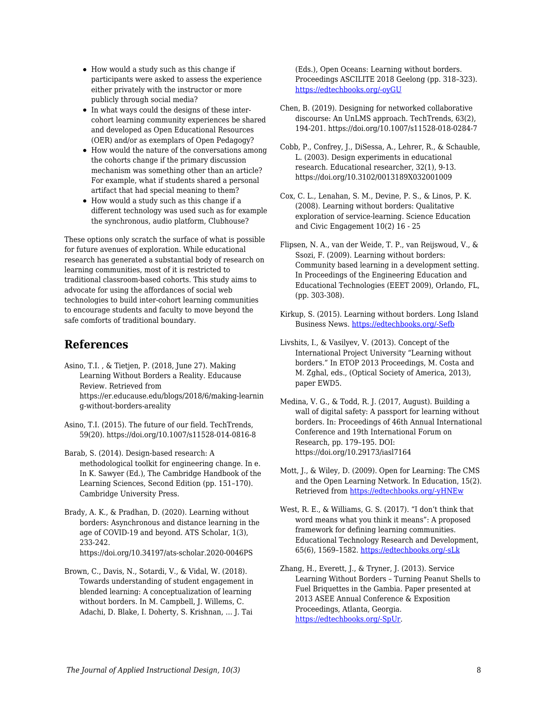- How would a study such as this change if participants were asked to assess the experience either privately with the instructor or more publicly through social media?
- In what ways could the designs of these intercohort learning community experiences be shared and developed as Open Educational Resources (OER) and/or as exemplars of Open Pedagogy?
- How would the nature of the conversations among the cohorts change if the primary discussion mechanism was something other than an article? For example, what if students shared a personal artifact that had special meaning to them?
- How would a study such as this change if a different technology was used such as for example the synchronous, audio platform, Clubhouse?

These options only scratch the surface of what is possible for future avenues of exploration. While educational research has generated a substantial body of research on learning communities, most of it is restricted to traditional classroom-based cohorts. This study aims to advocate for using the affordances of social web technologies to build inter-cohort learning communities to encourage students and faculty to move beyond the safe comforts of traditional boundary.

## **References**

- Asino, T.I. , & Tietjen, P. (2018, June 27). Making Learning Without Borders a Reality. Educause Review. Retrieved from https://er.educause.edu/blogs/2018/6/making-learnin g-without-borders-areality
- Asino, T.I. (2015). The future of our field. TechTrends, 59(20). https://doi.org/10.1007/s11528-014-0816-8
- Barab, S. (2014). Design-based research: A methodological toolkit for engineering change. In e. In K. Sawyer (Ed.), The Cambridge Handbook of the Learning Sciences, Second Edition (pp. 151–170). Cambridge University Press.
- Brady, A. K., & Pradhan, D. (2020). Learning without borders: Asynchronous and distance learning in the age of COVID-19 and beyond. ATS Scholar, 1(3), 233-242. https://doi.org/10.34197/ats-scholar.2020-0046PS
- Brown, C., Davis, N., Sotardi, V., & Vidal, W. (2018). Towards understanding of student engagement in blended learning: A conceptualization of learning without borders. In M. Campbell, J. Willems, C. Adachi, D. Blake, I. Doherty, S. Krishnan, … J. Tai

(Eds.), Open Oceans: Learning without borders. Proceedings ASCILITE 2018 Geelong (pp. 318–323). [https://edtechbooks.org/-oyGU](https://2018conference.ascilite.org/conference-proceedings/)

- Chen, B. (2019). Designing for networked collaborative discourse: An UnLMS approach. TechTrends, 63(2), 194-201. https://doi.org/10.1007/s11528-018-0284-7
- Cobb, P., Confrey, J., DiSessa, A., Lehrer, R., & Schauble, L. (2003). Design experiments in educational research. Educational researcher, 32(1), 9-13. https://doi.org/10.3102/0013189X032001009
- Cox, C. L., Lenahan, S. M., Devine, P. S., & Linos, P. K. (2008). Learning without borders: Qualitative exploration of service-learning. Science Education and Civic Engagement 10(2) 16 - 25
- Flipsen, N. A., van der Weide, T. P., van Reijswoud, V., & Ssozi, F. (2009). Learning without borders: Community based learning in a development setting. In Proceedings of the Engineering Education and Educational Technologies (EEET 2009), Orlando, FL, (pp. 303-308).
- Kirkup, S. (2015). Learning without borders. Long Island Business News. [https://edtechbooks.org/-Sefb](http://argo.library.okstate.edu/login?url=https://www.proquest.com/trade-journals/learning-without-borders/docview/1749888828/se-2?accountid=4117)
- Livshits, I., & Vasilyev, V. (2013). Concept of the International Project University "Learning without borders." In ETOP 2013 Proceedings, M. Costa and M. Zghal, eds., (Optical Society of America, 2013), paper EWD5.
- Medina, V. G., & Todd, R. J. (2017, August). Building a wall of digital safety: A passport for learning without borders. In: Proceedings of 46th Annual International Conference and 19th International Forum on Research, pp. 179–195. DOI: https://doi.org/10.29173/iasl7164
- Mott, J., & Wiley, D. (2009). Open for Learning: The CMS and the Open Learning Network. In Education, 15(2). Retrieved from [https://edtechbooks.org/-yHNEw](http://ineducation.ca/ineducation/article/view/53)
- West, R. E., & Williams, G. S. (2017). "I don't think that word means what you think it means": A proposed framework for defining learning communities. Educational Technology Research and Development, 65(6), 1569–1582. [https://edtechbooks.org/-sLk](https://doi.org/10.1007/s11423-017-9535-0)
- Zhang, H., Everett, J., & Tryner, J. (2013). Service Learning Without Borders – Turning Peanut Shells to Fuel Briquettes in the Gambia. Paper presented at 2013 ASEE Annual Conference & Exposition Proceedings, Atlanta, Georgia. [https://edtechbooks.org/-SpUr.](https://doi.org/10.18260/1-2--22449)